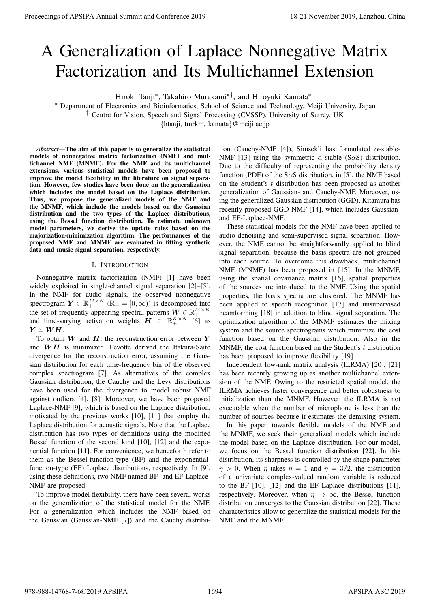# A Generalization of Laplace Nonnegative Matrix Factorization and Its Multichannel Extension

Hiroki Tanji<sup>∗</sup> , Takahiro Murakami∗†, and Hiroyuki Kamata<sup>∗</sup>

<sup>∗</sup> Department of Electronics and Bioinformatics, School of Science and Technology, Meiji University, Japan

† Centre for Vision, Speech and Signal Processing (CVSSP), University of Surrey, UK

{htanji, tmrkm, kamata}@meiji.ac.jp

*Abstract*—The aim of this paper is to generalize the statistical models of nonnegative matrix factorization (NMF) and multichannel NMF (MNMF). For the NMF and its multichannel extensions, various statistical models have been proposed to improve the model flexibility in the literature on signal separation. However, few studies have been done on the generalization which includes the model based on the Laplace distribution. Thus, we propose the generalized models of the NMF and the MNMF, which include the models based on the Gaussian distribution and the two types of the Laplace distributions, using the Bessel function distribution. To estimate unknown model parameters, we derive the update rules based on the majorization-minimization algorithm. The performances of the proposed NMF and MNMF are evaluated in fitting synthetic data and music signal separation, respectively.

## I. INTRODUCTION

Nonnegative matrix factorization (NMF) [1] have been widely exploited in single-channel signal separation [2]–[5]. In the NMF for audio signals, the observed nonnegative spectrogram  $Y \in \mathbb{R}_+^{M \times N}$  ( $\mathbb{R}_+ = [0, \infty)$ ) is decomposed into the set of frequently appearing spectral patterns  $W \in \mathbb{R}_+^{M \times K}$ and time-varying activation weights  $\boldsymbol{H} \in \mathbb{R}_+^{K \times N}$  [6] as  $Y \simeq WH.$ 

To obtain  $W$  and  $H$ , the reconstruction error between Y and  $WH$  is minimized. Fevotte derived the Itakura-Saito divergence for the reconstruction error, assuming the Gaussian distribution for each time-frequency bin of the observed complex spectrogram [7]. As alternatives of the complex Gaussian distribution, the Cauchy and the Levy distributions have been used for the divergence to model robust NMF against outliers [4], [8]. Moreover, we have been proposed Laplace-NMF [9], which is based on the Laplace distribution, motivated by the previous works [10], [11] that employ the Laplace distribution for acoustic signals. Note that the Laplace distribution has two types of definitions using the modified Bessel function of the second kind [10], [12] and the exponential function [11]. For convenience, we henceforth refer to them as the Bessel-function-type (BF) and the exponentialfunction-type (EF) Laplace distributions, respectively. In [9], using these definitions, two NMF named BF- and EF-Laplace-NMF are proposed. **Procedure of APSIPA Annual Summit and Conference 2019**<br> **A** Generalization of Laplace Nonnegative Matrix Factors of Apsiliar Annual Summit and European Conference 2019, Laplace 2019, Laplace 2019, Laplace 2019, Laplace 2

To improve model flexibility, there have been several works on the generalization of the statistical model for the NMF. For a generalization which includes the NMF based on the Gaussian (Gaussian-NMF [7]) and the Cauchy distribution (Cauchy-NMF [4]), Simsekli has formulated  $\alpha$ -stable-NMF [13] using the symmetric  $\alpha$ -stable (S $\alpha$ S) distribution. Due to the difficulty of representing the probability density function (PDF) of the S $\alpha$ S distribution, in [5], the NMF based on the Student's t distribution has been proposed as another generalization of Gaussian- and Cauchy-NMF. Moreover, using the generalized Gaussian distribution (GGD), Kitamura has recently proposed GGD-NMF [14], which includes Gaussianand EF-Laplace-NMF.

These statistical models for the NMF have been applied to audio denoising and semi-supervised signal separation. However, the NMF cannot be straightforwardly applied to blind signal separation, because the basis spectra are not grouped into each source. To overcome this drawback, multichannel NMF (MNMF) has been proposed in [15]. In the MNMF, using the spatial covariance matrix [16], spatial properties of the sources are introduced to the NMF. Using the spatial properties, the basis spectra are clustered. The MNMF has been applied to speech recognition [17] and unsupervised beamforming [18] in addition to blind signal separation. The optimization algorithm of the MNMF estimates the mixing system and the source spectrograms which minimize the cost function based on the Gaussian distribution. Also in the MNMF, the cost function based on the Student's  $t$  distribution has been proposed to improve flexibility [19].

Independent low-rank matrix analysis (ILRMA) [20], [21] has been recently growing up as another multichannel extension of the NMF. Owing to the restricted spatial model, the ILRMA achieves faster convergence and better robustness to initialization than the MNMF. However, the ILRMA is not executable when the number of microphone is less than the number of sources because it estimates the demixing system.

In this paper, towards flexible models of the NMF and the MNMF, we seek their generalized models which include the model based on the Laplace distribution. For our model, we focus on the Bessel function distribution [22]. In this distribution, its sharpness is controlled by the shape parameter  $\eta > 0$ . When  $\eta$  takes  $\eta = 1$  and  $\eta = 3/2$ , the distribution of a univariate complex-valued random variable is reduced to the BF [10], [12] and the EF Laplace distributions [11], respectively. Moreover, when  $\eta \to \infty$ , the Bessel function distribution converges to the Gaussian distribution [22]. These characteristics allow to generalize the statistical models for the NMF and the MNMF.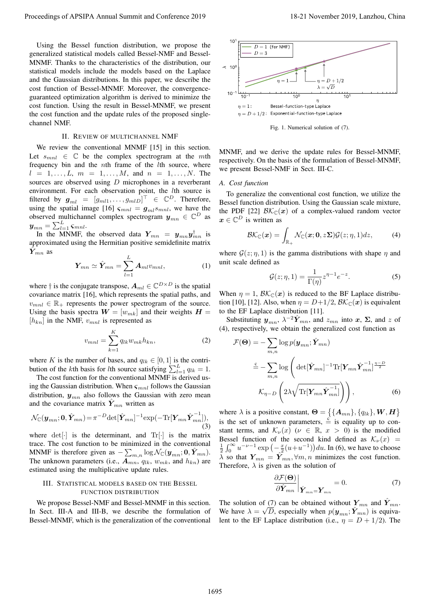Using the Bessel function distribution, we propose the generalized statistical models called Bessel-NMF and Bessel-MNMF. Thanks to the characteristics of the distribution, our statistical models include the models based on the Laplace and the Gaussian distributions. In this paper, we describe the cost function of Bessel-MNMF. Moreover, the convergenceguaranteed optimization algorithm is derived to minimize the cost function. Using the result in Bessel-MNMF, we present the cost function and the update rules of the proposed singlechannel NMF.

## II. REVIEW OF MULTICHANNEL NMF

We review the conventional MNMF [15] in this section. Let  $s_{mnl} \in \mathbb{C}$  be the complex spectrogram at the mth frequency bin and the nth frame of the lth source, where  $l = 1, \ldots, L, m = 1, \ldots, M, \text{ and } n = 1, \ldots, N.$  The sources are observed using D microphones in a reverberant environment. For each observation point, the *lth* source is filtered by  $\boldsymbol{g}_{ml} = [g_{ml1}, \dots, g_{mlD}]^{\top} \in \mathbb{C}^D$ . Therefore, using the spatial image [16]  $\varsigma_{mnl} = g_{ml} s_{mnl}$ , we have the observed multichannel complex spectrogram  $y_{mn} \in \mathbb{C}^D$  as  $\boldsymbol{y}_{mn} = \sum_{l=1}^{L} \boldsymbol{\varsigma}_{mnl}.$ 

In the MNMF, the observed data  $Y_{mn} = y_{mn}y_{mn}^{\dagger}$  is approximated using the Hermitian positive semidefinite matrix  $\hat{\boldsymbol{Y}}_{mn}$  as

$$
\boldsymbol{Y}_{mn} \simeq \hat{\boldsymbol{Y}}_{mn} = \sum_{l=1}^{L} \boldsymbol{A}_{ml} v_{mnl}, \qquad (1)
$$

where  $\dagger$  is the conjugate transpose,  $A_{ml} \in \mathbb{C}^{D \times D}$  is the spatial covariance matrix [16], which represents the spatial paths, and  $v_{mnl} \in \mathbb{R}_+$  represents the power spectrogram of the source. Using the basis spectra  $W = [w_{mk}]$  and their weights  $H =$  $[h_{kn}]$  in the NMF,  $v_{mnl}$  is represented as

$$
v_{mnl} = \sum_{k=1}^{K} q_{lk} w_{mk} h_{kn},
$$
\n(2)

where K is the number of bases, and  $q_{lk} \in [0, 1]$  is the contribution of the kth basis for lth source satisfying  $\sum_{l=1}^{L} q_{lk} = 1$ .

The cost function for the conventional MNMF is derived using the Gaussian distribution. When  $\varsigma_{mnl}$  follows the Gaussian distribution,  $y_{mn}$  also follows the Gaussian with zero mean and the covariance matrix  $\hat{Y}_{mn}$  written as

$$
\mathcal{N}_{\mathbb{C}}(\boldsymbol{y}_{mn};\boldsymbol{0},\hat{\boldsymbol{Y}}_{mn}) = \pi^{-D} \text{det}[\hat{\boldsymbol{Y}}_{mn}]^{-1} \text{exp}(-\text{Tr}[\boldsymbol{Y}_{mn}\hat{\boldsymbol{Y}}_{mn}^{-1}]),
$$
\n(3)

where  $det[\cdot]$  is the determinant, and  $Tr[\cdot]$  is the matrix trace. The cost function to be minimized in the conventional MNMF is therefore given as  $-\sum_{m,n} \log \mathcal{N}_{\mathbb{C}}(\boldsymbol{y}_{mn};\boldsymbol{0},\hat{\boldsymbol{Y}}_{mn}).$ The unknown parameters (i.e.,  $A_{mn}$ ,  $q_{lk}$ ,  $w_{mk}$ , and  $h_{kn}$ ) are estimated using the multiplicative update rules.

## III. STATISTICAL MODELS BASED ON THE BESSEL FUNCTION DISTRIBUTION

We propose Bessel-NMF and Bessel-MNMF in this section. In Sect. III-A and III-B, we describe the formulation of Bessel-MNMF, which is the generalization of the conventional



Fig. 1. Numerical solution of (7).

MNMF, and we derive the update rules for Bessel-MNMF, respectively. On the basis of the formulation of Bessel-MNMF, we present Bessel-NMF in Sect. III-C.

#### *A. Cost function*

To generalize the conventional cost function, we utilize the Bessel function distribution. Using the Gaussian scale mixture, the PDF [22]  $\mathcal{B}\mathcal{K}_{\mathbb{C}}(x)$  of a complex-valued random vector  $x \in \mathbb{C}^D$  is written as

$$
\mathcal{B}\mathcal{K}_{\mathbb{C}}(\boldsymbol{x}) = \int_{\mathbb{R}_+} \mathcal{N}_{\mathbb{C}}(\boldsymbol{x};\boldsymbol{0},z\boldsymbol{\Sigma})\mathcal{G}(z;\eta,1)dz,\tag{4}
$$

where  $G(z; \eta, 1)$  is the gamma distributions with shape  $\eta$  and unit scale defined as

$$
\mathcal{G}(z;\eta,1) = \frac{1}{\Gamma(\eta)} z^{\eta-1} e^{-z}.
$$
 (5)

When  $\eta = 1$ ,  $\mathcal{B}\mathcal{K}_{\mathbb{C}}(x)$  is reduced to the BF Laplace distribution [10], [12]. Also, when  $\eta = D+1/2$ ,  $\mathcal{B}\mathcal{K}_{\mathbb{C}}(x)$  is equivalent to the EF Laplace distribution [11].

Substituting  $y_{mn}$ ,  $\lambda^{-2} \hat{Y}_{mn}$ , and  $z_{mn}$  into  $x$ ,  $\Sigma$ , and  $z$  of (4), respectively, we obtain the generalized cost function as

$$
\mathcal{F}(\Theta) = -\sum_{m,n} \log p(\mathbf{y}_{mn}; \hat{\mathbf{Y}}_{mn})
$$

$$
\stackrel{c}{=} -\sum_{m,n} \log \left( \det[\hat{\mathbf{Y}}_{mn}]^{-1} \text{Tr}[\mathbf{Y}_{mn} \hat{\mathbf{Y}}_{mn}^{-1}]^{\frac{\eta-D}{2}} \right)
$$

$$
\mathcal{K}_{\eta-D} \left( 2\lambda \sqrt{\text{Tr}[\mathbf{Y}_{mn} \hat{\mathbf{Y}}_{mn}^{-1}]} \right) \right), \tag{6}
$$

where  $\lambda$  is a positive constant,  $\mathbf{\Theta} = \{ \{ \mathbf{A}_{mn} \}, \{ q_{lk} \}, \mathbf{W}, \mathbf{H} \}$ is the set of unknown parameters,  $\frac{c}{n}$  is equality up to constant terms, and  $\mathcal{K}_{\nu}(x)$  ( $\nu \in \mathbb{R}, x > 0$ ) is the modified Bessel function of the second kind defined as  $\mathcal{K}_{\nu}(x)$  =  $\frac{1}{2}\int_0^\infty u^{-\nu-1} \exp\left(-\frac{x}{2}(u+u^{-1})\right) du$ . In (6), we have to choose  $\overline{\lambda}$  so that  $Y_{mn} = \overline{Y}_{mn}, \forall m, n$  minimizes the cost function. Therefore,  $\lambda$  is given as the solution of

$$
\left. \frac{\partial \mathcal{F}(\Theta)}{\partial \hat{Y}_{mn}} \right|_{\hat{Y}_{mn} = Y_{mn}} = 0. \tag{7}
$$

The solution of (7) can be obtained without  $Y_{mn}$  and  $\hat{Y}_{mn}$ . We have  $\lambda = \sqrt{D}$ , especially when  $p(\mathbf{y}_{mn}; \hat{\mathbf{Y}}_{mn})$  is equivalent to the EF Laplace distribution (i.e.,  $\eta = D + 1/2$ ). The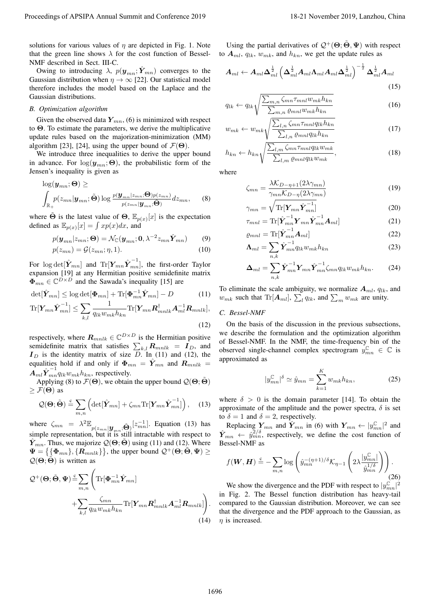solutions for various values of  $\eta$  are depicted in Fig. 1. Note that the green line shows  $\lambda$  for the cost function of Bessel-NMF described in Sect. III-C.

Owing to introducing  $\lambda$ ,  $p(\mathbf{y}_{mn}; \hat{\mathbf{Y}}_{mn})$  converges to the Gaussian distribution when  $\eta \to \infty$  [22]. Our statistical model therefore includes the model based on the Laplace and the Gaussian distributions.

# *B. Optimization algorithm*

Given the observed data  $Y_{mn}$ , (6) is minimized with respect to Θ. To estimate the parameters, we derive the multiplicative update rules based on the majorization-minimization (MM) algorithm [23], [24], using the upper bound of  $\mathcal{F}(\Theta)$ .

We introduce three inequalities to derive the upper bound in advance. For  $log(\mathbf{y}_{mn}; \Theta)$ , the probabilistic form of the Jensen's inequality is given as

$$
\log(\boldsymbol{y}_{mn};\boldsymbol{\Theta}) \geq
$$
\n
$$
\int_{\mathbb{R}_+} p(z_{mn}|\boldsymbol{y}_{mn};\tilde{\boldsymbol{\Theta}}) \log \frac{p(\boldsymbol{y}_{mn}|z_{mn};\boldsymbol{\Theta})p(z_{mn})}{p(z_{mn}|\boldsymbol{y}_{mn};\tilde{\boldsymbol{\Theta}})} dz_{mn},
$$
\n(8)

where  $\tilde{\Theta}$  is the latest value of  $\Theta$ ,  $\mathbb{E}_{p(x)}[x]$  is the expectation defined as  $\mathbb{E}_{p(x)}[x] = \int x p(x) dx$ , and

$$
p(\mathbf{y}_{mn}|z_{mn};\boldsymbol{\Theta}) = \mathcal{N}_{\mathbb{C}}(\mathbf{y}_{mn};\mathbf{0},\lambda^{-2}z_{mn}\hat{\mathbf{Y}}_{mn})
$$
(9)

$$
p(z_{mn}) = \mathcal{G}(z_{mn}; \eta, 1). \tag{10}
$$

For  $\log \det[\hat{Y}_{mn}]$  and  $\text{Tr}[\boldsymbol{Y}_{mn}\hat{\boldsymbol{Y}}_{mn}^{-1}],$  the first-order Taylor expansion [19] at any Hermitian positive semidefinite matrix  $\overline{\mathbf{\Phi}}_{mn} \in \mathbb{C}^{D \times D}$  and the Sawada's inequality [15] are

$$
\det[\hat{\mathbf{Y}}_{mn}] \le \log \det[\mathbf{\Phi}_{mn}] + \text{Tr}[\mathbf{\Phi}_{mn}^{-1}\hat{\mathbf{Y}}_{mn}] - D \tag{11}
$$

$$
\text{Tr}[\boldsymbol{Y}_{mn}\hat{\boldsymbol{Y}}_{mn}^{-1}] \leq \sum_{k,l} \frac{1}{q_{lk}w_{mk}h_{kn}} \text{Tr}[\boldsymbol{Y}_{mn}\boldsymbol{R}_{mnlk}^{\dagger} \boldsymbol{A}_{ml}^{-1}\boldsymbol{R}_{mnlk}],
$$
\n(12)

respectively, where  $\boldsymbol{R}_{mnlk} \in \mathbb{C}^{D \times D}$  is the Hermitian positive semidefinite matrix that satisfies  $\sum_{k,l} \mathbf{R}_{mnlk} = \mathbf{I}_D$ , and  $I_D$  is the identity matrix of size D. In (11) and (12), the equalities hold if and only if  $\Phi_{mn} = \hat{Y}_{mn}$  and  $R_{mnlk}$  $\overrightarrow{A}_{ml}\hat{Y}^{-1}_{mn}q_{lk}w_{mk}h_{kn}$ , respectively.

Applying (8) to  $\mathcal{F}(\Theta)$ , we obtain the upper bound  $\mathcal{Q}(\Theta; \tilde{\Theta})$  $\geq \mathcal{F}(\Theta)$  as

$$
Q(\mathbf{\Theta};\tilde{\mathbf{\Theta}}) \stackrel{c}{=} \sum_{m,n} \left( \det[\hat{\mathbf{Y}}_{mn}] + \zeta_{mn} \text{Tr}[\mathbf{Y}_{mn} \hat{\mathbf{Y}}_{mn}^{-1}] \right), \quad (13)
$$

where  $\zeta_{mn} = \lambda^2 \mathbb{E}_{p(z_{mn}|\mathbf{y}_{mn};\tilde{\Theta})}[z_{mn}^{-1}]$ . Equation (13) has simple representation, but it is still intractable with respect to  $Y_{mn}$ . Thus, we majorize  $\mathcal{Q}(\Theta; \Theta)$  using (11) and (12). Where  $\Psi = \left\{ {\{\Phi_{mn}\}, \{R_{mnlk}\}} \right\}$ , the upper bound  $\mathcal{Q}^+ (\Theta, \tilde{\Theta}, \Psi) \geq 0$  $Q(\Theta; \tilde{\Theta})$  is written as

Proceoting of APSIRA Annual Summit and Conference 2019  
\nsolutions for various values of 
$$
\eta
$$
 are depicted in Fig. 1. Note  
\nsolution for various values of  $\eta$  are depicted in Fig. 1. Note  
\n
$$
W_{\text{max}} = \text{for } \eta
$$
\n
$$
W_{\text{max}} = \text{for } \eta
$$
\n
$$
W_{\text{max}} = \text{for } \eta
$$
\n
$$
W_{\text{max}} = \text{for } \eta
$$
\n
$$
W_{\text{max}} = \text{for } \eta
$$
\n
$$
W_{\text{max}} = \text{for } \eta
$$
\n
$$
W_{\text{max}} = \text{for } \eta
$$
\n
$$
W_{\text{max}} = \text{for } \eta
$$
\n
$$
W_{\text{max}} = \text{for } \eta
$$
\n
$$
W_{\text{max}} = \text{for } \eta
$$
\n
$$
W_{\text{max}} = \text{for } \eta
$$
\n
$$
W_{\text{max}} = \text{for } \eta
$$
\n
$$
W_{\text{max}} = \text{for } \eta
$$
\n
$$
W_{\text{max}} = \text{for } \eta
$$
\n
$$
W_{\text{max}} = \text{for } \eta
$$
\n
$$
W_{\text{max}} = \text{for } \eta
$$
\n
$$
W_{\text{max}} = \text{for } \eta
$$
\n
$$
W_{\text{max}} = \text{for } \eta
$$
\n
$$
W_{\text{max}} = \text{for } \eta
$$
\n
$$
W_{\text{max}} = \text{for } \eta
$$
\n
$$
W_{\text{max}} = \text{for } \eta
$$
\n
$$
W_{\text{max}} = \text{for } \eta
$$
\n
$$
W_{\text{max}} = \text{for } \eta
$$
\n
$$
W_{\text{max}} = \text{for } \eta
$$
\n
$$
W_{\text{max}} = \text{for } \eta
$$
\n
$$
W_{\text{max}} = \text{for } \eta
$$
\n
$$
W_{\text{max}} = \text{for } \eta
$$
\n
$$
W_{\text{max}} = \text{for } \eta
$$

Using the partial derivatives of  $\mathcal{Q}^+(\Theta; \tilde{\Theta}, \Psi)$  with respect to  $A_{ml}$ ,  $q_{lk}$ ,  $w_{mk}$ , and  $h_{kn}$ , we get the update rules as

$$
A_{ml} \leftarrow A_{ml} \Delta_{ml}^{\frac{1}{2}} \left( \Delta_{ml}^{\frac{1}{2}} A_{ml} \Lambda_{ml} A_{ml} \Delta_{ml}^{\frac{1}{2}} \right)^{-\frac{1}{2}} \Delta_{ml}^{\frac{1}{2}} A_{ml}
$$
\n(15)

$$
q_{lk} \leftarrow q_{lk} \sqrt{\frac{\sum_{m,n} \zeta_{mn} \tau_{mnl} w_{mk} h_{kn}}{\sum_{m,n} \varrho_{mnl} w_{mk} h_{kn}}}
$$
(16)

$$
w_{mk} \leftarrow w_{mk} \sqrt{\frac{\sum_{l,n} \zeta_{mn} \tau_{mnl} q_{lk} h_{kn}}{\sum_{l,n} \varrho_{mnl} q_{lk} h_{kn}}}
$$
(17)

$$
h_{kn} \leftarrow h_{kn} \sqrt{\frac{\sum_{l,m} \zeta_{mn} \tau_{mnl} q_{lk} w_{mk}}{\sum_{l,m} \varrho_{mnl} q_{lk} w_{mk}}},\tag{18}
$$

where

$$
\zeta_{mn} = \frac{\lambda \mathcal{K}_{D-\eta+1}(2\lambda \gamma_{mn})}{\gamma_{mn} \mathcal{K}_{D-\eta}(2\lambda \gamma_{mn})}
$$
(19)

$$
\gamma_{mn} = \sqrt{\text{Tr}[\boldsymbol{Y}_{mn}\hat{\boldsymbol{Y}}_{mn}^{-1}]} \tag{20}
$$

$$
\tau_{mnl} = \text{Tr}[\hat{\boldsymbol{Y}}_{mn}^{-1} \boldsymbol{Y}_{mn} \hat{\boldsymbol{Y}}_{mn}^{-1} \boldsymbol{A}_{ml}]
$$
\n
$$
\mathbf{A}_{mnl} = \text{Tr}[\hat{\mathbf{Y}}^{-1} \boldsymbol{A}_{mnl}]
$$
\n(21)

$$
\varrho_{mnl} = \text{Tr}[\hat{\boldsymbol{Y}}_{mn}^{-1} \boldsymbol{A}_{ml}]
$$
\n
$$
\boldsymbol{\Lambda}_{ml} = \sum \hat{\boldsymbol{Y}}_{mn}^{-1} q_{lk} w_{mk} h_{kn}
$$
\n(23)

$$
\Delta_{ml} = \sum_{n,k}^{n,k} \hat{Y}_{mn}^{-1} Y_{mn} \hat{Y}_{mn}^{-1} \zeta_{mn} q_{lk} w_{mk} h_{kn}.
$$
 (24)

To eliminate the scale ambiguity, we normalize  $A_{ml}$ ,  $q_{lk}$ , and  $w_{mk}$  such that Tr[ $A_{ml}$ ],  $\sum_l q_{lk}$ , and  $\sum_m w_{mk}$  are unity.

## *C. Bessel-NMF*

 $\vert$ 

On the basis of the discussion in the previous subsections, we describe the formulation and the optimization algorithm of Bessel-NMF. In the NMF, the time-frequency bin of the observed single-channel complex spectrogram  $y_{mn}^{\mathbb{C}} \in \mathbb{C}$  is approximated as

$$
y_{mn}^{\mathbb{C}}|^{\delta} \simeq \hat{y}_{mn} = \sum_{k=1}^{K} w_{mk} h_{kn}, \qquad (25)
$$

where  $\delta > 0$  is the domain parameter [14]. To obtain the approximate of the amplitude and the power spectra,  $\delta$  is set to  $\delta = 1$  and  $\delta = 2$ , respectively.

Replacing  $Y_{mn}$  and  $\hat{Y}_{mn}$  in (6) with  $Y_{mn} \leftarrow |y_{mn}^{\mathbb{C}}|^2$  and  $\hat{Y}_{mn}$   $\leftarrow \hat{y}_{mn}^{2/\delta}$ , respectively, we define the cost function of Bessel-NMF as

$$
f(\boldsymbol{W}, \boldsymbol{H}) \stackrel{c}{=} -\sum_{m,n} \log \left( \hat{y}_{mn}^{-(\eta+1)/\delta} \mathcal{K}_{\eta-1} \left( 2\lambda \frac{|y_{mn}^{\mathbb{C}}|}{\hat{y}_{mn}^{1/\delta}} \right) \right). \tag{26}
$$

We show the divergence and the PDF with respect to  $|y_{mn}^{\mathbb{C}}|^2$ in Fig. 2. The Bessel function distribution has heavy-tail compared to the Gaussian distribution. Moreover, we can see that the divergence and the PDF approach to the Gaussian, as  $\eta$  is increased.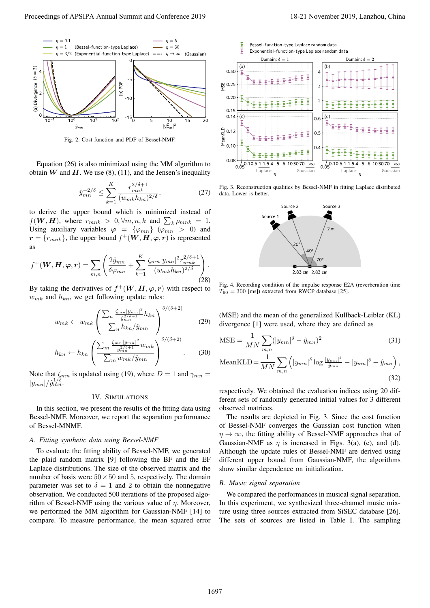

Fig. 2. Cost function and PDF of Bessel-NMF.

Equation (26) is also minimized using the MM algorithm to obtain W and H. We use  $(8)$ ,  $(11)$ , and the Jensen's inequality

$$
\hat{y}_{mn}^{-2/\delta} \le \sum_{k=1}^{K} \frac{r_{mnk}^{2/\delta + 1}}{(w_{mk} h_{kn})^{2/\delta}},\tag{27}
$$

to derive the upper bound which is minimized instead of  $f(\boldsymbol{W}, \boldsymbol{H})$ , where  $r_{mnk} > 0$ ,  $\forall m, n, k$  and  $\sum_{k} \rho_{mnk} = 1$ . Using auxiliary variables  $\varphi = {\varphi_{mn}} (\varphi_{mn} > 0)$  and  $\boldsymbol{r} = \{r_{mnk}\},$  the upper bound  $f^+(\boldsymbol{W}, \boldsymbol{H}, \boldsymbol{\varphi}, \boldsymbol{r})$  is represented as

$$
f^+(\boldsymbol{W}, \boldsymbol{H}, \boldsymbol{\varphi}, \boldsymbol{r}) = \sum_{m,n} \left( \frac{2\hat{y}_{mn}}{\delta \varphi_{mn}} + \sum_{k=1}^K \frac{\zeta_{mn} |y_{mn}|^2 r_{mnk}^{2/\delta + 1}}{(w_{mk} h_{kn})^{2/\delta}} \right). \tag{28}
$$

By taking the derivatives of  $f^+(W, H, \varphi, r)$  with respect to  $w_{mk}$  and  $h_{kn}$ , we get following update rules:

$$
w_{mk} \leftarrow w_{mk} \left( \frac{\sum_{n} \frac{\zeta_{mn} |y_{mn}|^2}{\hat{y}_{mn}^{2/\delta+1}} h_{kn}}{\sum_{n} h_{kn} / \hat{y}_{mn}} \right)^{\delta/(\delta+2)} \tag{29}
$$

$$
h_{kn} \leftarrow h_{kn} \left( \frac{\sum_{m} \frac{\zeta_{mn} |y_{mn}|^2}{\hat{y}_{mn}^{2/\delta+1}} w_{mk}}{\sum_{m} w_{mk} / \hat{y}_{mn}} \right)^{\delta/(\delta+2)}.
$$
 (30)

Note that  $\zeta_{mn}$  is updated using (19), where  $D = 1$  and  $\gamma_{mn} =$  $|y_{mn}|/\hat{y}^{1/\delta}_{mn}$ .

## IV. SIMULATIONS

In this section, we present the results of the fitting data using Bessel-NMF. Moreover, we report the separation performance of Bessel-MNMF.

## *A. Fitting synthetic data using Bessel-NMF*

To evaluate the fitting ability of Bessel-NMF, we generated the plaid random matrix [9] following the BF and the EF Laplace distributions. The size of the observed matrix and the number of basis were  $50 \times 50$  and 5, respectively. The domain parameter was set to  $\delta = 1$  and 2 to obtain the nonnegative observation. We conducted 500 iterations of the proposed algorithm of Bessel-NMF using the various value of  $\eta$ . Moreover, we performed the MM algorithm for Gaussian-NMF [14] to compare. To measure performance, the mean squared error



Fig. 3. Reconstruction qualities by Bessel-NMF in fitting Laplace distributed data. Lower is better.



Fig. 4. Recording condition of the impulse response E2A (reverberation time  $T_{60} = 300$  [ms]) extracted from RWCP database [25].

(MSE) and the mean of the generalized Kullback-Leibler (KL) divergence [1] were used, where they are defined as

$$
MSE = \frac{1}{MN} \sum_{m,n} (|y_{mn}|^{\delta} - \hat{y}_{mn})^2
$$
 (31)

MeanKLD = 
$$
\frac{1}{MN} \sum_{m,n} \left( |y_{mn}|^{\delta} \log \frac{|y_{mn}|^{\delta}}{\hat{y}_{mn}} - |y_{mn}|^{\delta} + \hat{y}_{mn} \right),
$$
\n(32)

respectively. We obtained the evaluation indices using 20 different sets of randomly generated initial values for 3 different observed matrices.

The results are depicted in Fig. 3. Since the cost function of Bessel-NMF converges the Gaussian cost function when  $\eta \to \infty$ , the fitting ability of Bessel-NMF approaches that of Gaussian-NMF as  $\eta$  is increased in Figs. 3(a), (c), and (d). Although the update rules of Bessel-NMF are derived using different upper bound from Gaussian-NMF, the algorithms show similar dependence on initialization.

## *B. Music signal separation*

We compared the performances in musical signal separation. In this experiment, we synthesized three-channel music mixture using three sources extracted from SiSEC database [26]. The sets of sources are listed in Table I. The sampling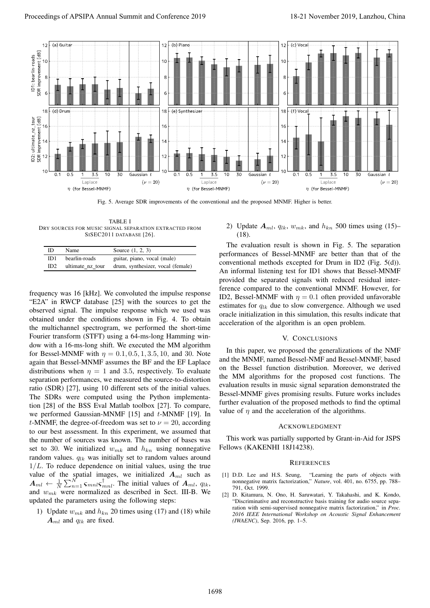

Fig. 5. Average SDR improvements of the conventional and the proposed MNMF. Higher is better.

TABLE I DRY SOURCES FOR MUSIC SIGNAL SEPARATION EXTRACTED FROM SISEC2011 DATABASE [26].

| ID. | Name             | Source (1, 2, 3)                  |
|-----|------------------|-----------------------------------|
| ID1 | bearlin-roads    | guitar, piano, vocal (male)       |
| ID2 | ultimate nz tour | drum, synthesizer, vocal (female) |

frequency was 16 [kHz]. We convoluted the impulse response "E2A" in RWCP database [25] with the sources to get the observed signal. The impulse response which we used was obtained under the conditions shown in Fig. 4. To obtain the multichannel spectrogram, we performed the short-time Fourier transform (STFT) using a 64-ms-long Hamming window with a 16-ms-long shift. We executed the MM algorithm for Bessel-MNMF with  $\eta = 0.1, 0.5, 1, 3.5, 10$ , and 30. Note again that Bessel-MNMF assumes the BF and the EF Laplace distributions when  $\eta = 1$  and 3.5, respectively. To evaluate separation performances, we measured the source-to-distortion ratio (SDR) [27], using 10 different sets of the initial values. The SDRs were computed using the Python implementation [28] of the BSS Eval Matlab toolbox [27]. To compare, we performed Gaussian-MNMF  $[15]$  and  $t$ -MNMF  $[19]$ . In t-MNMF, the degree-of-freedom was set to  $\nu = 20$ , according to our best assessment. In this experiment, we assumed that the number of sources was known. The number of bases was set to 30. We initialized  $w_{mk}$  and  $h_{kn}$  using nonnegative random values.  $q_{lk}$  was initially set to random values around  $1/L$ . To reduce dependence on initial values, using the true value of the spatial images, we initialized  $A_{ml}$  such as  $A_{ml} \leftarrow \frac{1}{N} \sum_{n=1}^{N} \zeta_{mnl} \zeta_{mnl}^{\dagger}$ . The initial values of  $A_{ml}$ ,  $q_{lk}$ , and  $w_{mk}$  were normalized as described in Sect. III-B. We updated the parameters using the following steps:

1) Update  $w_{mk}$  and  $h_{kn}$  20 times using (17) and (18) while  $A_{ml}$  and  $q_{lk}$  are fixed.

# 2) Update  $A_{ml}$ ,  $q_{lk}$ ,  $w_{mk}$ , and  $h_{kn}$  500 times using (15)–  $(18)$

The evaluation result is shown in Fig. 5. The separation performances of Bessel-MNMF are better than that of the conventional methods excepted for Drum in ID2 (Fig. 5(d)). An informal listening test for ID1 shows that Bessel-MNMF provided the separated signals with reduced residual interference compared to the conventional MNMF. However, for ID2, Bessel-MNMF with  $\eta = 0.1$  often provided unfavorable estimates for  $q_{lk}$  due to slow convergence. Although we used oracle initialization in this simulation, this results indicate that acceleration of the algorithm is an open problem.

## V. CONCLUSIONS

In this paper, we proposed the generalizations of the NMF and the MNMF, named Bessel-NMF and Bessel-MNMF, based on the Bessel function distribution. Moreover, we derived the MM algorithms for the proposed cost functions. The evaluation results in music signal separation demonstrated the Bessel-MNMF gives promising results. Future works includes further evaluation of the proposed methods to find the optimal value of  $\eta$  and the acceleration of the algorithms.

#### ACKNOWLEDGMENT

This work was partially supported by Grant-in-Aid for JSPS Fellows (KAKENHI 18J14238).

#### **REFERENCES**

- [1] D.D. Lee and H.S. Seung, "Learning the parts of objects with nonnegative matrix factorization," *Nature*, vol. 401, no. 6755, pp. 788– 791, Oct. 1999.
- [2] D. Kitamura, N. Ono, H. Saruwatari, Y. Takahashi, and K. Kondo, "Discriminative and reconstructive basis training for audio source separation with semi-supervised nonnegative matrix factorization," in *Proc. 2016 IEEE International Workshop on Acoustic Signal Enhancement (IWAENC)*, Sep. 2016, pp. 1–5.